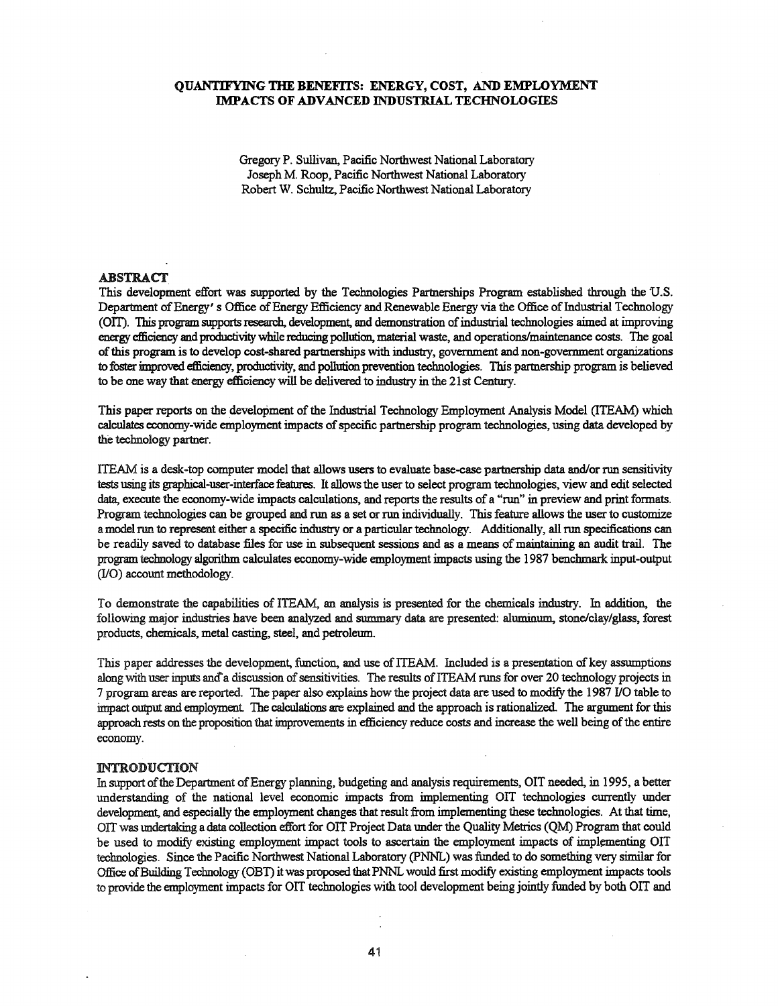### QUANTIFYING THE BENEFITS: ENERGY, COST, AND EMPLOYMENT IMPACTS OF ADVANCED INDUSTRIAL TECHNOLOGIES

Gregory P. Sullivan, Pacific Northwest National Laboratory Joseph M. Roop, Pacific Northwest National Laboratory Robert W. Schultz, Pacific Northwest National Laboratory

#### **ABSTRACT**

This development effort was supported by the Technologies Partnerships Program established through the U.S. Department of Energy' s Office of Energy Efficiency and Renewable Energy via the Office of Industrial Technology (OIT). This program supports research, development, and demonstration of industrial technologies aimed at improving energy efficiency and productivity while reducing pollution, material waste, and operations/maintenance costs. The goal ofthis program isto develop cost-shared partnerships with industry, government and non-government organizations to foster improved efficiency, productivity, and pollution prevention technologies. This partnership program is believed to be one way that energy efficiency will be delivered to industry in the 21st Century.

This paper reports on the development of the Industrial Technology Employment Analysis Model (ITEAM) which calculates economy-wide employment impacts of specific partnership program technologies, using data developed by the technology partner.

ITEAM is a desk-top computer model that allows users to evaluate base-case partnership data and/or run sensitivity tests using its graphical-user-interface features. It allowsthe user to select program technologies, view and edit selected data, execute the economy-wide impacts calculations, and reports the results of a "run" in preview and print formats. Program technologies can be grouped and run as a set or run individually. This feature allows the user to customize a model run to represent either a specific industry or a particular technology. Additionally, all run specifications can be readily saved to database files for use in subsequent sessions and as a means of maintaining an audit trail. The programtechnology algorithm calculates economy-wide employment impacts using the 1987 benchmark input-output (I/O) account methodology.

To demonstrate the capabilities of ITEAM, an analysis is presented for the chemicals industry. In addition, the following major industries have been analyzed and summary data are presented: aluminum, stone/clay/glass, forest products, chemicals, metal casting, steel, and petrolemn.

This paper addresses the development, function, and use of ITEAM. Included is a presentation of key assumptions along with user inputs and a discussion of sensitivities. The results of ITEAM runs for over 20 technology projects in 7 program areas are reported. The paper also explains how the project data are used to modify the 1987 JlO table to impact output and employment. The calculations are explained and the approach is rationalized. The argument for this approach rests on the proposition that improvements in efficiency reduce costs and increase the well being of the entire economy\_

#### lNTRODUCTION

In support of the Department of Energy planning, budgeting and analysis requirements, OIT needed, in 1995, a better understanding of the national level economic impacts from implementing OIT technologies currently under development, and especially the employment changes that result from implementing these technologies. At that time, OIT was undertaking a data collection effort for OIT Project Data under the Quality Metrics (QM) Program that could be used to modify existing employment impact tools to ascertain the employment impacts of implementing OII technologies. Since the Pacific Northwest National Laboratory (PNNL) was funded to do something very similar for Office of Building Technology (OBT) it was proposed that PNNL would first modify existing employment impacts tools to provide the employment impacts for OIT technologies with tool development being jointly funded by both OIT and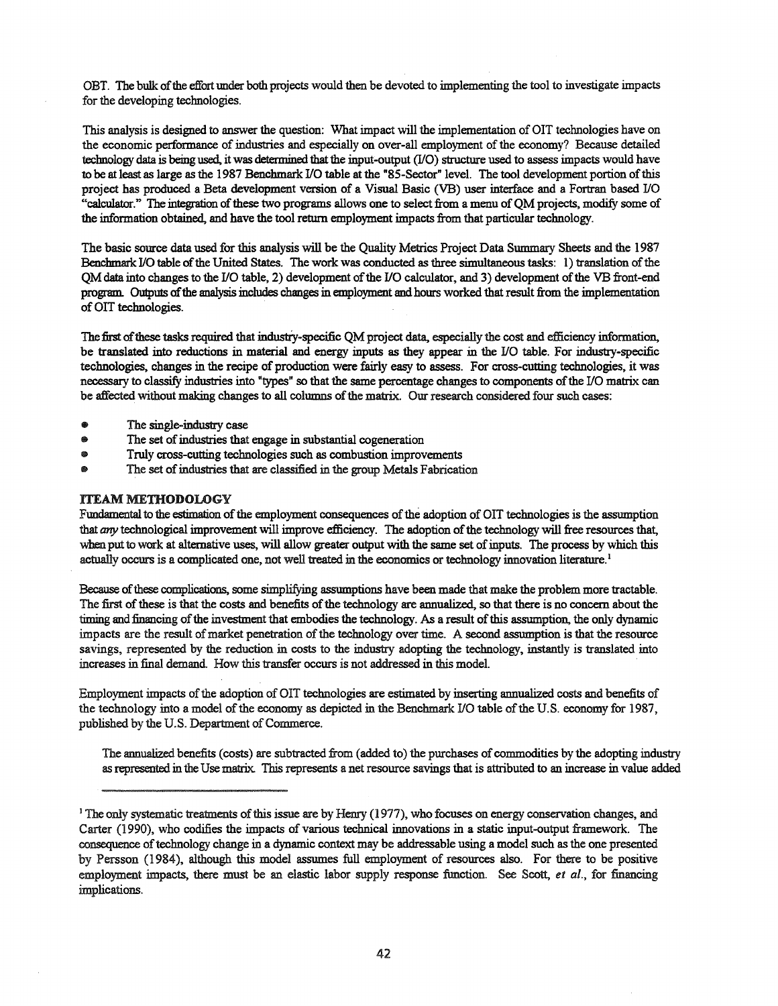OBT. The bulk of the effort under both projects would then be devoted to implementing the tool to investigate impacts for the developing technologies.

This analysis is designed to answer the question: What impact will the implementation of OIT technologies have on the economic performance of industries and especially on over-all employment of the economy? Because detailed technology data is being used, it was determined that the input-output (I/O) structure used to assess impacts would have to be at least as large as the 1987 Benchmark I/O table at the "8S-Sector" level. The tool development portion ofthis project has produced a Beta development version of a Visual Basic (VB) user interface and a Fortran based I/O "calculator." The integration of these two programs allows one to select from a menu of QM projects, modify some of the information obtained, and have the tool return employment impactsfrom that particular technology.

The basic source data used for this analysis will be the Quality Metrics Project Data Summary Sheets and the 1987 Benchmark *I/O* table of the United States. The work was conducted as three simultaneous tasks: 1) translation of the QM data into changes to the I/O table, 2) development of the I/O calculator, and 3) development of the VB front-end program. Outputs of the analysis includes changes in employment and hours worked that result from the implementation of OIT technologies.

The first of these tasks required that industry-specific QM project data, especially the cost and efficiency information, be translated into reductions in material and energy inputs as they appear in the I/O table. For industry-specific technologies, changes in the recipe of production were fairly easy to assess. For cross-cutting technologies, it was necessary to classify industries into "types" so that the same percentage changes to components ofthe I/O matrix can be affected without making changes to all columns of the matrix. Our research considered four such cases:

- The single-industry case
- The set of industries that engage in substantial cogeneration
- Truly cross-cutting technologies such as combustion improvements
- The set of industries that are classified in the group Metals Fabrication

### **ITEAM METHODOLOGY**

Fundamental to the estimation of the employment consequences of the adoption of OIT technologies is the assumption that any technological improvement will improve efficiency. The adoption of the technology will free resources that, when put to work at alternative uses, will allow greater output with the same set of inputs. The process by which this actually occurs is a complicated one, not well treated in the economics or technology innovation literature.<sup>1</sup>

Because of these complications, some simplifying assumptions have been made that make the problem more tractable. The first of these is that the costs and benefits of the technology are annualized, so that there is no concern about the timing and financing of the investment that embodies the technology. As a result of this assumption, the only dynamic impacts are the result of market penetration of the technology over time. A second assumption is that the resource savings, represented by the reduction in costs to the industry adopting the technology, instantly is translated into increases in final demand. How this transfer occurs is not addressed in this model.

Employment impacts of the adoption of OIT technologies are estimated by inserting annualized costs and benefits of the technology into a model of the economy as depicted in the Benchmark I/O table of the U.S. economy for 1987, published by the U.S. Department of Commerce.

The annualized benefits (costs) are subtracted from (added to) the purchases of commodities by the adopting industry asrepresented inthe Use matrix. This represents a net resource savings that is attributed to an increase in value added

<sup>&</sup>lt;sup>1</sup> The only systematic treatments of this issue are by Henry (1977), who focuses on energy conservation changes, and Carter (1990), who codifies the impacts of various technical innovations in a static input-output framework. The consequence oftechnology change in a dynamic context may be addressable using a model such asthe one presented by Persson (1984), although this model assumes full employment of resources also. For there to be positive employment impacts, there must be an elastic labor supply response function. See Scott, *et al.*, for financing implications.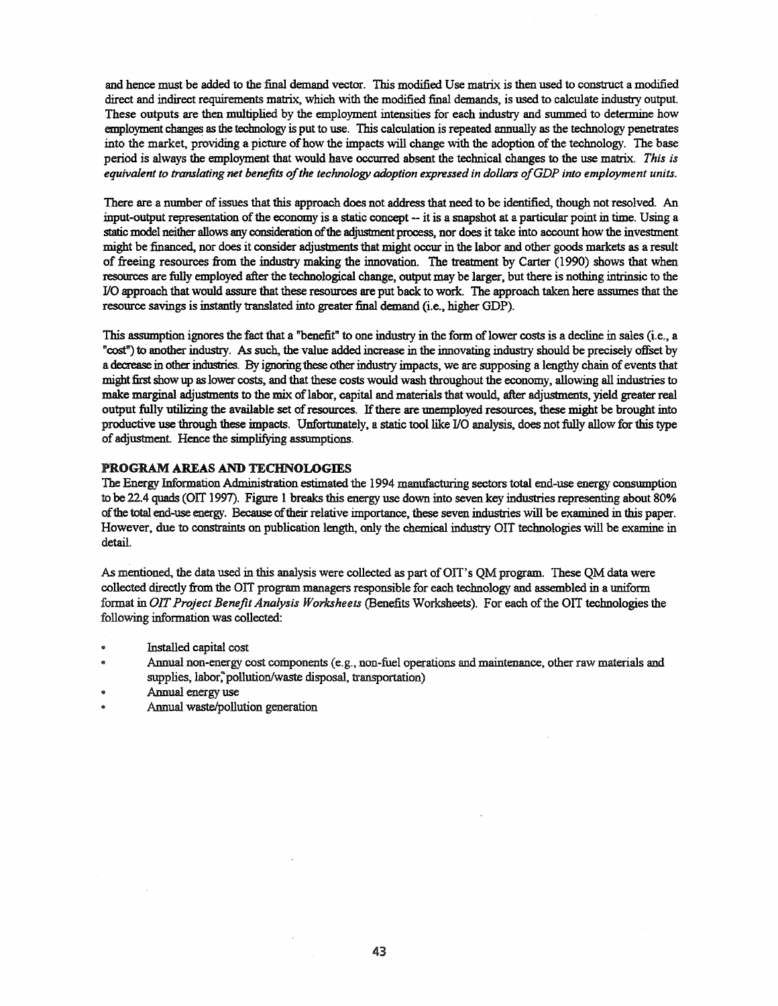and hence must be added to the final demand vector. This modified Use matrix is then used to construct a modified direct and indirect requirements matrix, which with the modified final demands, is used to calculate industry output. These outputs are then multiplied by the employment intensities for each industry and smnmed to determine how employment changes as the technology is put to use. This calculation is repeated annually as the technology penetrates into the market, providing a picture of how the impacts will change with the adoption of the technology. The base period is always the employment that would have occurred absent the technical changes to the use matrix. *This is equivalent to translating net benefits ofthe technology adoption expressed in dollars ofGDP into employment units.*

There are a number of issues that this approach does not address that need to be identified, though not resolved. An input-output representation of the economy is a static concept -- it is a snapshot at a particular point in time. Using a static model neither allows any consideration of the adjustment process, nor does it take into account how the investment might be financed, nor does it consider adjustments that might occur in the labor and other goods markets as a result of freeing resources from the industry making the innovation. The treatment by Carter (1990) shows that when resources are fully employed after the technological change, output may be larger, but there is nothing intrinsic to the I/O approach that would assure that these resources are put back to work. The approach taken here assumes that the resource savings is instantly translated into greater final demand (i.e., higher GDP).

This assumption ignores the fact that a "benefit" to one industry in the form of lower costs is a decline in sales (i.e., a "cost") to another industry. As such, the value added increase in the innovating industry should be precisely offset by a decrease in other industries. By ignoring these other industry impacts, we are supposing a lengthy chain of events that might first show up as lower costs, and that these costs would wash throughout the economy, allowing all industries to make marginal adjustments to the mix of labor, capital and materials that would, after adjustments, yield greater real output fully utilizing the available set ofresources. Ifthere are unemployed resources, these might be brought into productive use through these impacts. Unfortunately, a static tool like I/O analysis, does notfully allow for this type of adjustment. Hence the simplifying assumptions.

#### PROGRAM AREAS AND TECHNOLOGIES

The Energy Information Administration estimated the 1994 manufacturing sectors total end-use energy consumption to be 22.4 quads (OlT 1997). Figure 1 breaks this energy use down into seven key industries representing about 80% ofthe total end-use energy. Because oftheir relative importance, these seven industries will be examined in this paper. However, due to constraints on publication length, only the chemical industry 011 technologies will be examine in detail.

As mentioned, the data used in this analysis were collected as part of OIT's QM program. These QM data were collected directly from the OIT program managers responsible for each technology and assembled in a uniform format in *OIT Project Benefit Analysis Worksheets* (Benefits Worksheets). For each ofthe OIT technologiesthe following information was collected:

- Installed capital cost
- Annual non-energy cost components (e.g., non-fuel operations and maintenance, other raw materials and supplies, labor, pollution/waste disposal, transportation)
- Annual energy use
- Annual waste/pollution generation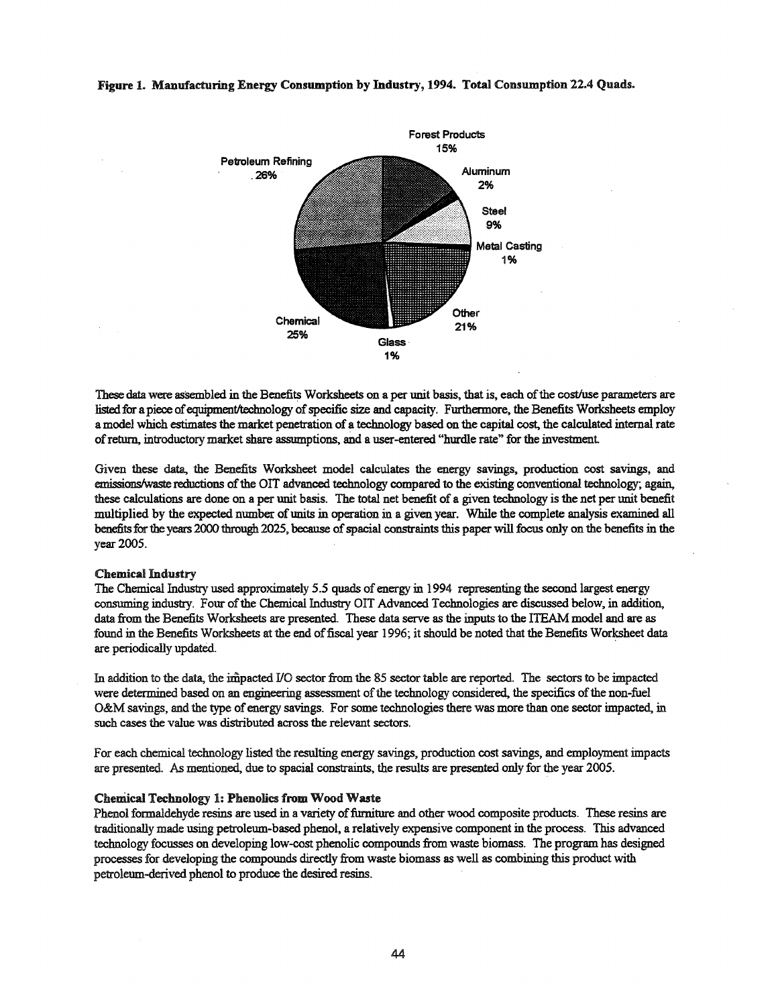

#### Figure 1. Manufacturing Energy Consumption by Industry, 1994. Total Consumption '22.4 Quads.

These data were assembled in the Benefits Worksheets on a per unit basis, that is, each of the cost/use parameters are listed for a piece of equipment/technology of specific size and capacity. Furthermore, the Benefits Worksheets employ a model which estimates the market penetration of a technology based on the capital cost, the calculated internal rate ofreturn, introductory market share assumptions, and a user-entered "hurdle rate" for the investment

Given these data, the Benefits Worksheet model calculates the energy savings, production cost savings, and emissions/waste reductions of the OIT advanced technology compared to the existing conventional technology; again, these calculations are done on a per unit basis. The total net benefit of a given technology is the net per unit benefit multiplied by the expected number of units in operation in a given year. While the complete analysis examined all benefits for the years 2000 through 2025, because of spacial constraints this paper will focus only on the benefits in the year 2005.

#### Chemical Industry

The Chemical Industry used approximately 5.5 quads of energy in 1994 representing the second largest energy consuming industry. Four of the Chemical Industry OIT Advanced Technologies are discussed below, in addition, data from the Benefits Worksheets are presented. These data serve as the inputs to the ITEAM model and are as found in the Benefits Worksheets at the end of fiscal year 1996; it should be noted that the Benefits Worksheet data are periodically updated. .

In addition to the data, the impacted I/O sector from the 85 sector table are reported. The sectors to be impacted were determined based on an engineering assessment of the technology considered, the specifics of the non-fuel O&M savings, and the type of energy savings. For some technologies there was more than one sector impacted, in such cases the value was distributed across the relevant sectors.

For each chemical technology listed the resulting energy savings, production cost savings, and employment impacts are presented. As mentioned, due to spacial constraints, the results are presented only for the year 2005.

#### Chemical Technology 1: Phenolics from Wood Waste

Phenol formaldehyde resins are used in a variety of furniture and other wood composite products. These resins are traditionally made using petroleum-based phenol, a relatively expensive component in the process. This advanced technology focusses on developing low-cost phenolic compounds from waste biomass. The program has designed processesfor developing the compounds directly from waste biomass as well as combining this product with petroleum-derived phenol to produce the desired resins.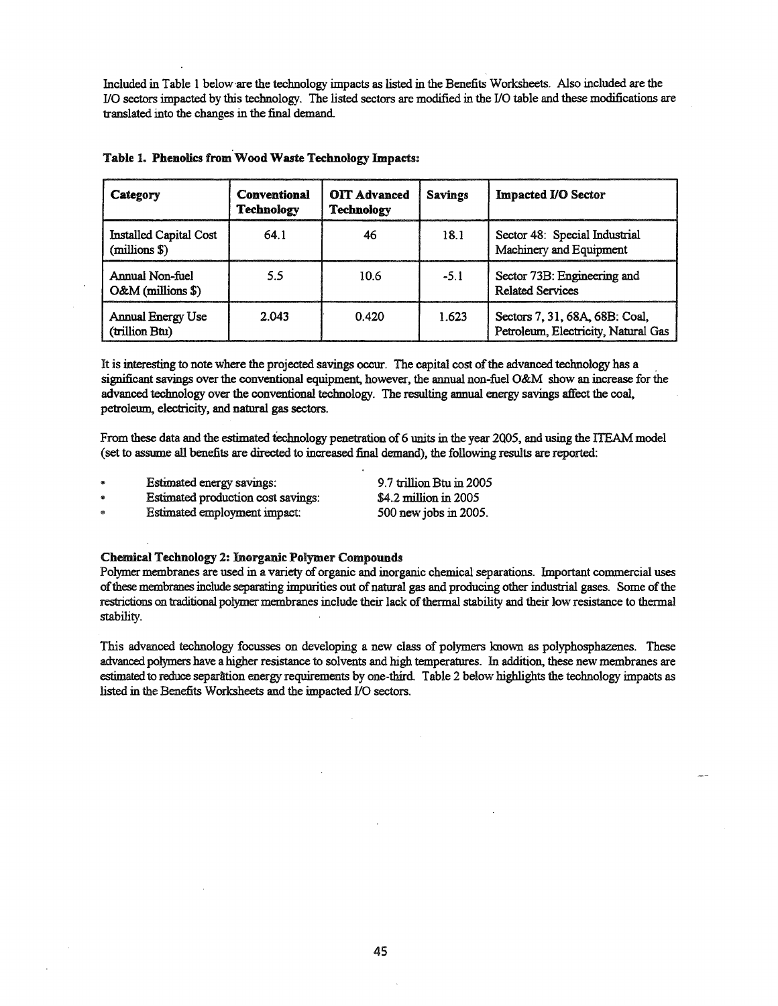Included in Table 1 below'are the technology impacts as listed in the Benefits Worksheets. Also included are the I/O sectors impacted by this technology. The listed sectors are modified in the I/O table and these modifications are translated into the changes in the final demand.

| Category                                   | <b>Conventional</b><br><b>Technology</b> | <b>OIT Advanced</b><br>Technology | <b>Savings</b> | <b>Impacted I/O Sector</b>                                            |
|--------------------------------------------|------------------------------------------|-----------------------------------|----------------|-----------------------------------------------------------------------|
| Installed Capital Cost<br>(millions \$)    | 64.1                                     | 46                                | 18.1           | Sector 48: Special Industrial<br>Machinery and Equipment              |
| Annual Non-fuel<br>O&M (millions \$)       | 5.5                                      | 10.6                              | $-5.1$         | Sector 73B: Engineering and<br><b>Related Services</b>                |
| <b>Annual Energy Use</b><br>(trillion Btu) | 2.043                                    | 0.420                             | 1.623          | Sectors 7, 31, 68A, 68B: Coal,<br>Petroleum, Electricity, Natural Gas |

### Table 1. Phenolics from Wood Waste Technology Impacts:

It is interesting to note where the projected savings occur. The capital cost of the advanced technology has a significant savings over the conventional equipment, however, the annual non-fuel O&M show an increase for the advanced technology over the conventional technology. The resulting annual energy savings affect the coal, petroleum, electricity, and natural gas sectors.

From these data and the estimated technology penetration of 6 units in the year 2005, and using the ITEAM model (set to assume all benefits are directed to increased final demand), the following results are reported:

- Estimated energy savings:  $\bullet$
- Estimated production cost savings:  $\bullet$

Estimated employment impact: ø.

\$4.2 million in 2005 500 new jobs in 2005.

9.7 trillion Btu in 2005

#### Chemical Technology 2: Inorganic Polymer Compounds

Polymer membranes are used in a variety of organic and inorganic chemical separations. Important commercial uses of these membranes include separating impurities out of natural gas and producing other industrial gases. Some of the restrictions on traditional polymer membranes include their lack of thermal stability and their low resistance to thermal stability.

This advanced technology focusses on developing a new class of polymers known as polyphosphazenes. These advanced polymers have a higher resistance to solvents and high temperatures. In addition, these new membranes are estimated to reduce separation energy requirements by one-third. Table 2 below highlights the technology impacts as listed in the Benefits Worksheets and the impacted I/O sectors.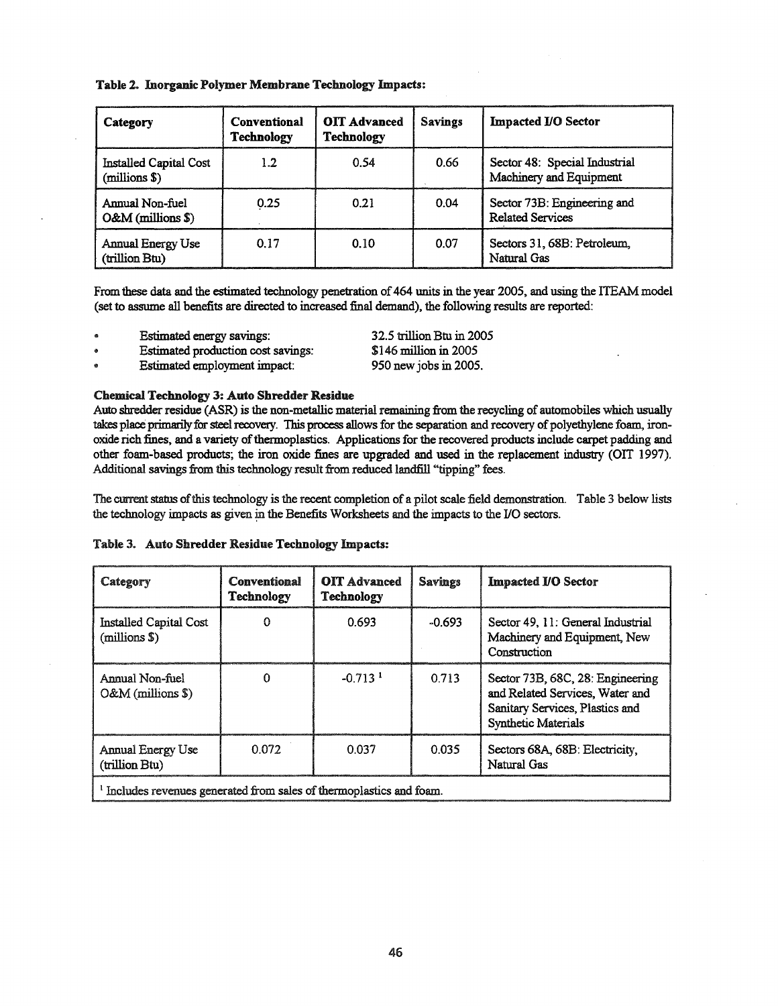## Table 2. Inorganic Polymer Membrane Technology Impacts:

| Category                                   | <b>Conventional</b><br><b>Technology</b> | <b>OIT Advanced</b><br><b>Technology</b> | <b>Savings</b> | <b>Impacted I/O Sector</b>                               |
|--------------------------------------------|------------------------------------------|------------------------------------------|----------------|----------------------------------------------------------|
| Installed Capital Cost<br>(millions \$)    | 1.2                                      | <u>ი 54</u>                              | 0.66           | Sector 48: Special Industrial<br>Machinery and Equipment |
| Annual Non-fuel<br>$O&M$ (millions \$)     | 0.25                                     | 0.21                                     | 0.04           | Sector 73B: Engineering and<br><b>Related Services</b>   |
| <b>Annual Energy Use</b><br>(trillion Btu) | 0.17                                     | 0.10                                     | 0.07           | Sectors 31, 68B: Petroleum.<br>Natural Gas               |

From these data and the estimated technology penetration of 464 units in the year 2005, and using the ITEAM model (set to assume all benefits are directed to increased final demand), the following results are reported:

- Estimated energy savings:
- Estimated production cost savings:

Estimated employment impact:

32.5 trillion Btu in 2005 \$146 million in 2005 950 new jobs in 2005.

### Chemical Technology 3: Auto Shredder Residue

Auto shredder residue (ASR) is the non-metallic material remaining from the recycling of automobiles which usually takes place primarily for steel recovery. This process allows for the separation and recovery of polyethylene foam, ironoxide rich fines, and a variety of thermoplastics. Applications for the recovered products include carpet padding and other foam-based products; the iron oxide fines are upgraded and used in the replacement industry (OIT 1997). Additional savings from this technology result from reduced landfill "tipping" fees.

The current status of this technology is the recent completion of a pilot scale field demonstration. Table 3 below lists the technology impacts as given in the Benefits Worksheets and the impacts to the I/O sectors.

|  |  | Table 3. Auto Shredder Residue Technology Impacts: |  |  |
|--|--|----------------------------------------------------|--|--|
|--|--|----------------------------------------------------|--|--|

| Category                                                           | Conventional<br>Technology | <b>OIT</b> Advanced<br>Technology | <b>Savings</b> | <b>Impacted I/O Sector</b>                                                                                                           |  |
|--------------------------------------------------------------------|----------------------------|-----------------------------------|----------------|--------------------------------------------------------------------------------------------------------------------------------------|--|
| <b>Installed Capital Cost</b><br>(millions \$)                     | 0                          | 0.693                             | $-0.693$       | Sector 49, 11: General Industrial<br>Machinery and Equipment, New<br>Construction                                                    |  |
| Annual Non-fuel<br>$O&M$ (millions \$)                             | 0                          | $-0.713$ <sup>1</sup>             | 0.713          | Sector 73B, 68C, 28: Engineering<br>and Related Services, Water and<br>Sanitary Services, Plastics and<br><b>Synthetic Materials</b> |  |
| Annual Energy Use<br>(trillion Btu)                                | 0.072                      | 0.037                             | 0.035          | Sectors 68A, 68B: Electricity,<br>Natural Gas                                                                                        |  |
| Includes revenues generated from sales of thermoplastics and foam. |                            |                                   |                |                                                                                                                                      |  |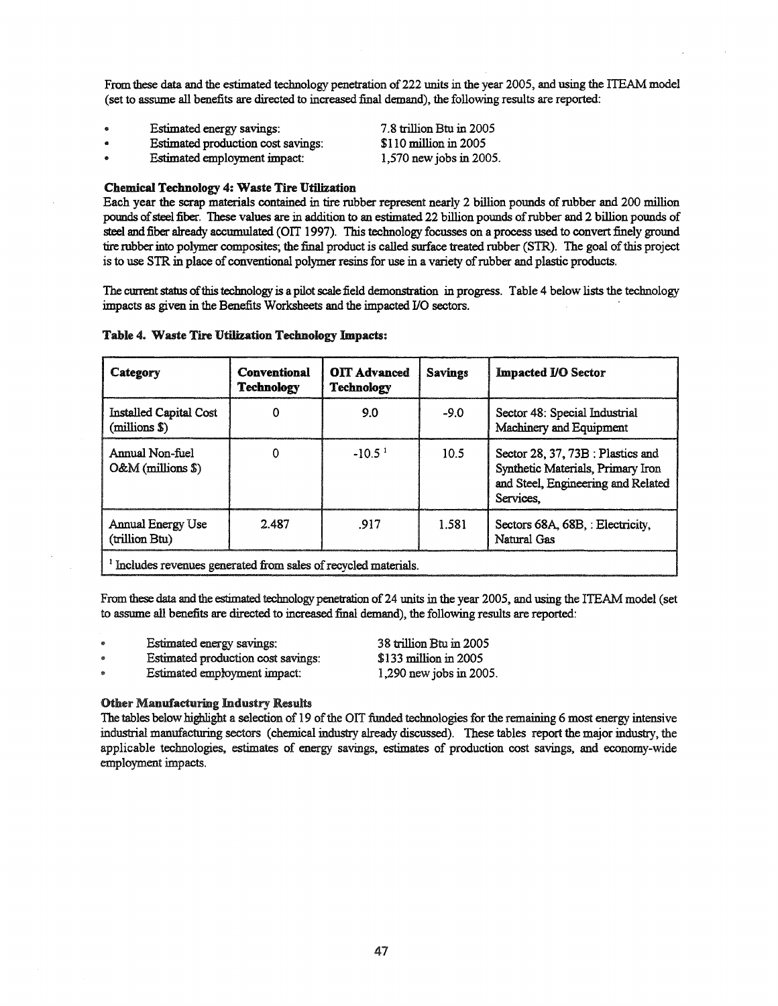From these data and the estimated technology penetration of 222 units in the year 2005, and using the ITEAM model (set to assume all benefits are directed to increased final demand), the following results are reported:

> 7.8 trillion Btu in 2005 \$110 million in 2005 1,570 new jobs in 2005.

- Estimated energy savings:
- Estimated production cost savings:
- Estimated employment impact:

### Chemical Technology 4: Waste Tire Utilization

Each year the scrap materials contained in tire rubber represent nearly 2 billion pounds ofrubber and 200 million pounds of steel fiber. These values are in addition to an estimated 22 billion pounds of rubber and 2 billion pounds of steel and fiber already accumulated (OIT 1997). This technology focusses on a process used to convert finely ground tire robberinto polymer composites; the final product is called surface treated rubber (8TR). The goal ofthis project is to use STR in place of conventional polymer resins for use in a variety of rubber and plastic products.

The current status of this technology is a pilot scale field demonstration in progress. Table 4 below lists the technology impacts as given in the Benefits Worksheets and the impacted I/O sectors. .

| Category                                                                   | Conventional<br><b>Technology</b> | <b>OIT Advanced</b><br><b>Technology</b> | <b>Savings</b> | <b>Impacted I/O Sector</b>                                                                                                |  |  |
|----------------------------------------------------------------------------|-----------------------------------|------------------------------------------|----------------|---------------------------------------------------------------------------------------------------------------------------|--|--|
| Installed Capital Cost<br>(millions \$)                                    | 0                                 | 9.0                                      | -90            | Sector 48: Special Industrial<br>Machinery and Equipment                                                                  |  |  |
| Annual Non-fuel<br>$O&M$ (millions \$)                                     | 0                                 | $-1051$                                  | 10.5           | Sector 28, 37, 73B : Plastics and<br>Synthetic Materials, Primary Iron<br>and Steel, Engineering and Related<br>Services. |  |  |
| Annual Energy Use<br>(trillion Btu)                                        | 2.487                             | 917                                      | 1.581          | Sectors 68A, 68B, : Electricity,<br>Natural Gas                                                                           |  |  |
| <sup>1</sup> Includes revenues generated from sales of recycled materials. |                                   |                                          |                |                                                                                                                           |  |  |

#### Table 4. Waste Tire Utilization Technology Impacts:

From these data and the estimated technology penetration of 24 units in the year 2005, and using the ITEAM model (set to assume all benefits are directed to increased final demand), the following results are reported:

- Estimated energy savings:
- Estimated production cost savings:
- Estimated employment impact:

38 trillion Btu in 2005 \$133 million in 2005 1,290 newjobs in 2005.

#### Other Manufacturing Industry Results

The tables below highlight a selection of 19 of the OIT funded technologies for the remaining 6 most energy intensive industrial manufacturing sectors (chemical industry already discussed). These tables report the major industry, the applicable technologies, estimates of energy savings, estimates of production cost savings, and economy-wide employment impacts.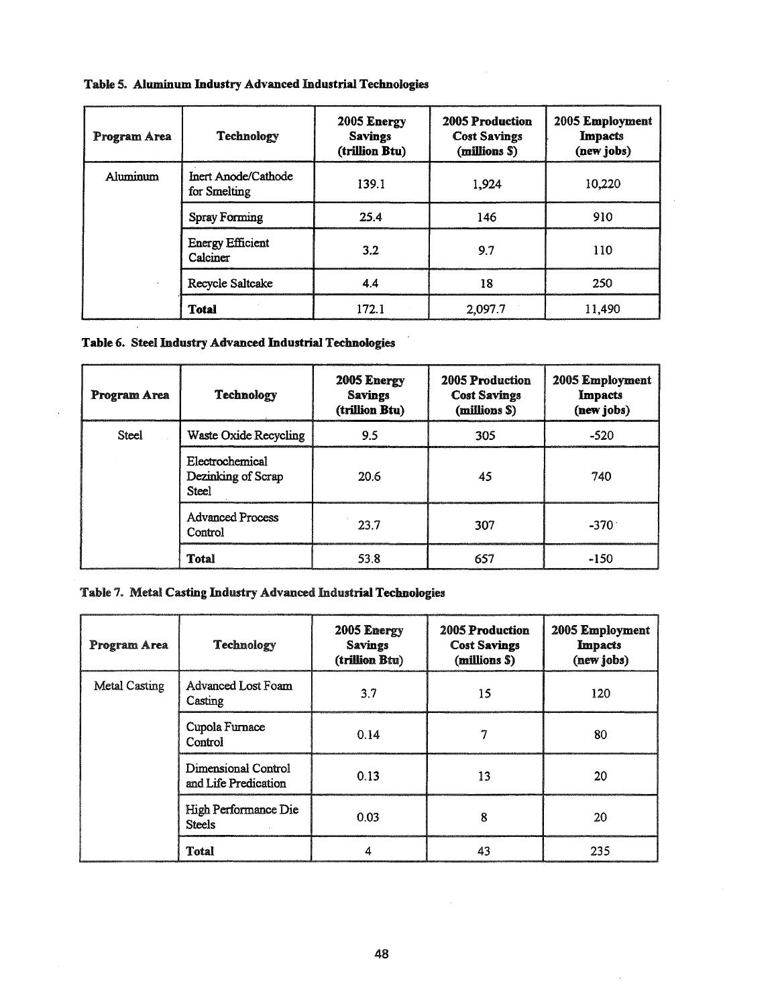| Program Area | Technology                          | 2005 Energy<br><b>Savings</b><br>(trillion Btu) | 2005 Production<br><b>Cost Savings</b><br>(millions \$) | 2005 Employment<br><b>Impacts</b><br>(new jobs) |
|--------------|-------------------------------------|-------------------------------------------------|---------------------------------------------------------|-------------------------------------------------|
| Aluminum     | Inert Anode/Cathode<br>for Smelting | 139.1                                           | 1.924                                                   | 10.220                                          |
|              | <b>Spray Forming</b>                | 25.4                                            | 146                                                     | 910                                             |
|              | <b>Energy Efficient</b><br>Calciner | 3.2                                             | 9.7                                                     | 110                                             |
|              | Recycle Saltcake                    | 44                                              | 18                                                      | 250                                             |
|              | <b>Total</b>                        | 172.1                                           | 2,097.7                                                 | 11.490                                          |

 $\gamma$ 

## Table 5. Aluminum Industry Advanced Industrial Technologies

## Table 6. Steel Industry Advanced Industrial Technologies

| Program Area | <b>Technology</b>                              | 2005 Energy<br><b>Savings</b><br>(trillion Btu) | <b>2005 Production</b><br><b>Cost Savings</b><br>(millions \$) | 2005 Employment<br>Impacts<br>(new jobs) |
|--------------|------------------------------------------------|-------------------------------------------------|----------------------------------------------------------------|------------------------------------------|
| Steel        | Waste Oxide Recycling                          | 9.5                                             | 305                                                            | $-520$                                   |
|              | Electrochemical<br>Dezinking of Scrap<br>Steel | 20.6                                            | 45                                                             | 740                                      |
|              | <b>Advanced Process</b><br>Control             | 23.7                                            | 307                                                            | $-370^{\circ}$                           |
|              | Total                                          | 53.8                                            | 657                                                            | -150                                     |

## Table 7. Metal Casting Industry Advanced Industrial Technologies

| Program Area  | Technology                                  | 2005 Energy<br><b>Savings</b><br>(trillion Btu) | <b>2005 Production</b><br><b>Cost Savings</b><br>(millions \$) | 2005 Employment<br><b>Impacts</b><br>(new jobs) |
|---------------|---------------------------------------------|-------------------------------------------------|----------------------------------------------------------------|-------------------------------------------------|
| Metal Casting | Advanced Lost Foam<br>Casting               | 3.7                                             | 15                                                             | 120                                             |
|               | Cupola Furnace<br>Control                   | 0.14                                            | 7                                                              | 80                                              |
|               | Dimensional Control<br>and Life Predication | 0.13                                            | 13                                                             | 20                                              |
|               | High Performance Die<br><b>Steels</b>       | 0.03                                            | 8                                                              | 20                                              |
|               | <b>Total</b>                                |                                                 | 43                                                             | 235                                             |

 $\bar{z}$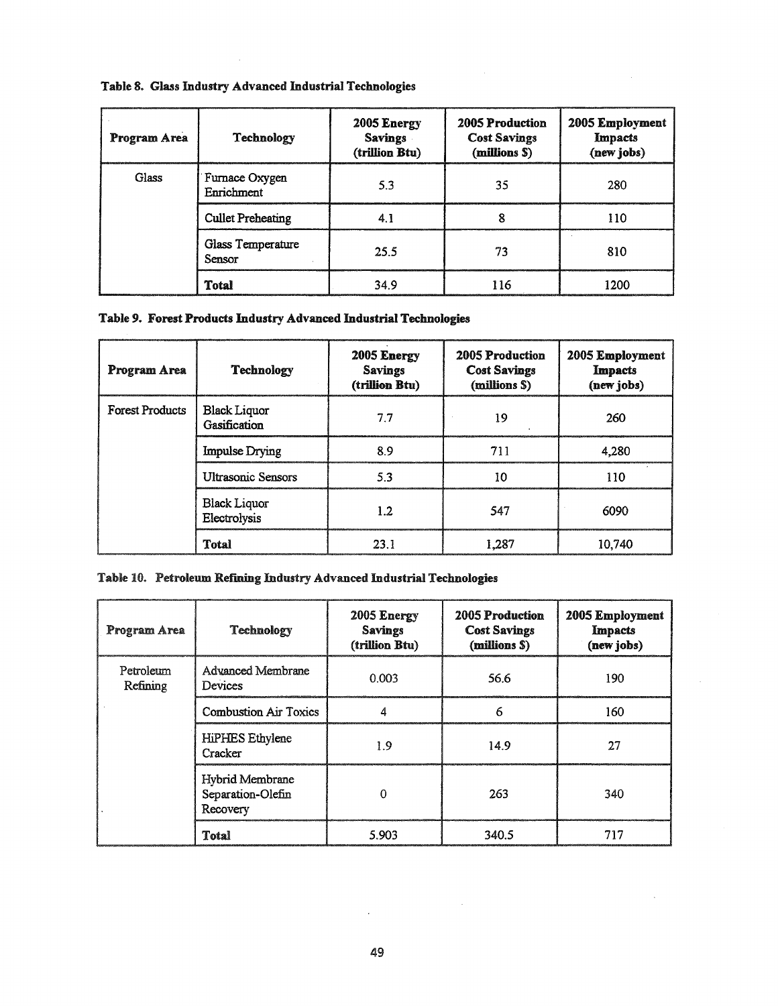|  |  |  |  |  | Table 8. Glass Industry Advanced Industrial Technologies |
|--|--|--|--|--|----------------------------------------------------------|
|--|--|--|--|--|----------------------------------------------------------|

| Program Area | Technology                   | 2005 Energy<br><b>Savings</b><br>(trillion Btu) | 2005 Production<br><b>Cost Savings</b><br>(millions \$) | 2005 Employment<br>Impacts<br>(new jobs) |
|--------------|------------------------------|-------------------------------------------------|---------------------------------------------------------|------------------------------------------|
| Glass        | Furnace Oxygen<br>Enrichment | 5.3                                             | 35                                                      | 280                                      |
|              | <b>Cullet Preheating</b>     | 4.1                                             | о                                                       | 110                                      |
|              | Glass Temperature<br>Sensor  | 25.5                                            | 73                                                      | 810                                      |
|              | <b>Total</b>                 | 34.9                                            | 116                                                     | 1200                                     |

# Table 9. Forest Products Industry Advanced Industrial Technologies

| Program Area           | Technology                          | 2005 Energy<br><b>Savings</b><br>(trillion Btu) | <b>2005 Production</b><br><b>Cost Savings</b><br>(millions \$) | 2005 Employment<br><b>Impacts</b><br>(new jobs) |
|------------------------|-------------------------------------|-------------------------------------------------|----------------------------------------------------------------|-------------------------------------------------|
| <b>Forest Products</b> | Black Liquor<br>Gasification        | 77                                              | 19                                                             | 260                                             |
|                        | <b>Impulse Drying</b>               | 89                                              | 711                                                            | 4.280                                           |
|                        | <b>Ultrasonic Sensors</b>           | 53                                              | 10                                                             | 110                                             |
|                        | <b>Black Liquor</b><br>Electrolysis | 1.2                                             | 547                                                            | 6090                                            |
|                        | Total                               | 231                                             | 1.287                                                          | 10.740                                          |

# Table 10. Petroleum Refining Industry Advanced Industrial Technologies

| Program Area          | Technology                                       | 2005 Energy<br><b>Savings</b><br>(trillion Btu) | 2005 Production<br><b>Cost Savings</b><br>(millions S) | 2005 Employment<br><b>Impacts</b><br>(new jobs) |
|-----------------------|--------------------------------------------------|-------------------------------------------------|--------------------------------------------------------|-------------------------------------------------|
| Petroleum<br>Refining | Advanced Membrane<br>Devices                     | 0.003                                           | 56.6                                                   | 190                                             |
|                       | <b>Combustion Air Toxics</b>                     |                                                 | 6                                                      | 160                                             |
|                       | HiPHES Ethylene<br>Cracker                       | 1.9                                             | 14.9                                                   | 27                                              |
|                       | Hybrid Membrane<br>Separation-Olefin<br>Recovery | O                                               | 263                                                    | 340                                             |
|                       | Total                                            | 5.903                                           | 340.5                                                  | 717                                             |

 $\mathcal{L}^{\text{max}}$ 

 $\mathcal{L}^{\text{max}}_{\text{max}}$  and  $\mathcal{L}^{\text{max}}_{\text{max}}$ 

 $\lambda$